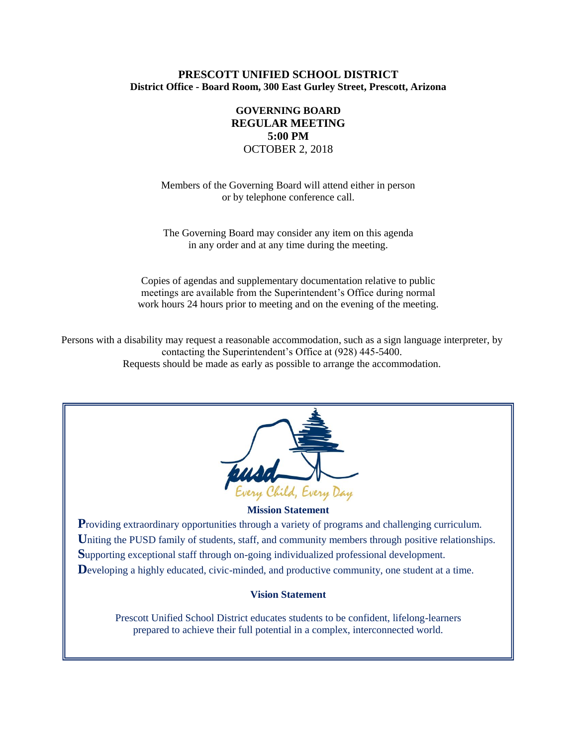## **PRESCOTT UNIFIED SCHOOL DISTRICT District Office - Board Room, 300 East Gurley Street, Prescott, Arizona**

# **GOVERNING BOARD REGULAR MEETING 5:00 PM** OCTOBER 2, 2018

Members of the Governing Board will attend either in person or by telephone conference call.

The Governing Board may consider any item on this agenda in any order and at any time during the meeting.

Copies of agendas and supplementary documentation relative to public meetings are available from the Superintendent's Office during normal work hours 24 hours prior to meeting and on the evening of the meeting.

Persons with a disability may request a reasonable accommodation, such as a sign language interpreter, by contacting the Superintendent's Office at (928) 445-5400. Requests should be made as early as possible to arrange the accommodation.



### **Mission Statement**

**P**roviding extraordinary opportunities through a variety of programs and challenging curriculum. Uniting the PUSD family of students, staff, and community members through positive relationships. **S**upporting exceptional staff through on-going individualized professional development. Developing a highly educated, civic-minded, and productive community, one student at a time.

### **Vision Statement**

Prescott Unified School District educates students to be confident, lifelong-learners prepared to achieve their full potential in a complex, interconnected world.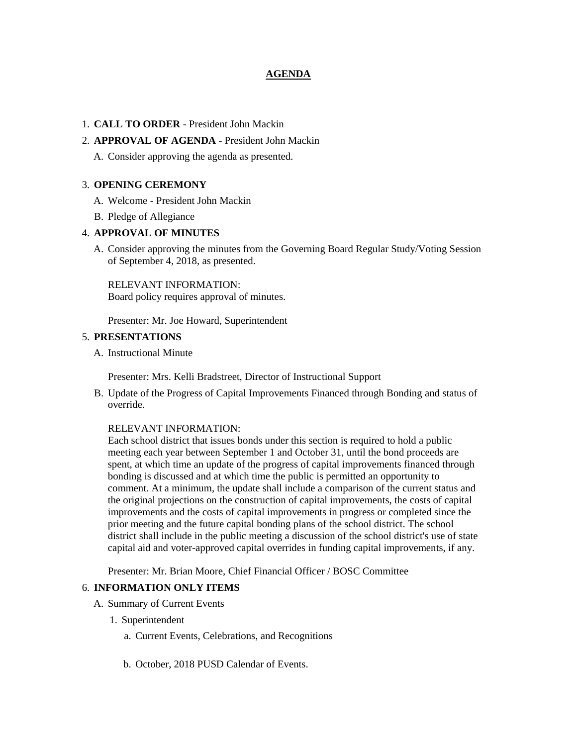## **AGENDA**

## 1. **CALL TO ORDER** - President John Mackin

## 2. **APPROVAL OF AGENDA** - President John Mackin

A. Consider approving the agenda as presented.

## 3. **OPENING CEREMONY**

- A. Welcome President John Mackin
- B. Pledge of Allegiance

## 4. **APPROVAL OF MINUTES**

A. Consider approving the minutes from the Governing Board Regular Study/Voting Session of September 4, 2018, as presented.

RELEVANT INFORMATION: Board policy requires approval of minutes.

Presenter: Mr. Joe Howard, Superintendent

## 5. **PRESENTATIONS**

A. Instructional Minute

Presenter: Mrs. Kelli Bradstreet, Director of Instructional Support

B. Update of the Progress of Capital Improvements Financed through Bonding and status of override.

### RELEVANT INFORMATION:

Each school district that issues bonds under this section is required to hold a public meeting each year between September 1 and October 31, until the bond proceeds are spent, at which time an update of the progress of capital improvements financed through bonding is discussed and at which time the public is permitted an opportunity to comment. At a minimum, the update shall include a comparison of the current status and the original projections on the construction of capital improvements, the costs of capital improvements and the costs of capital improvements in progress or completed since the prior meeting and the future capital bonding plans of the school district. The school district shall include in the public meeting a discussion of the school district's use of state capital aid and voter-approved capital overrides in funding capital improvements, if any.

Presenter: Mr. Brian Moore, Chief Financial Officer / BOSC Committee

### 6. **INFORMATION ONLY ITEMS**

- A. Summary of Current Events
	- 1. Superintendent
		- a. Current Events, Celebrations, and Recognitions
		- b. October, 2018 PUSD Calendar of Events.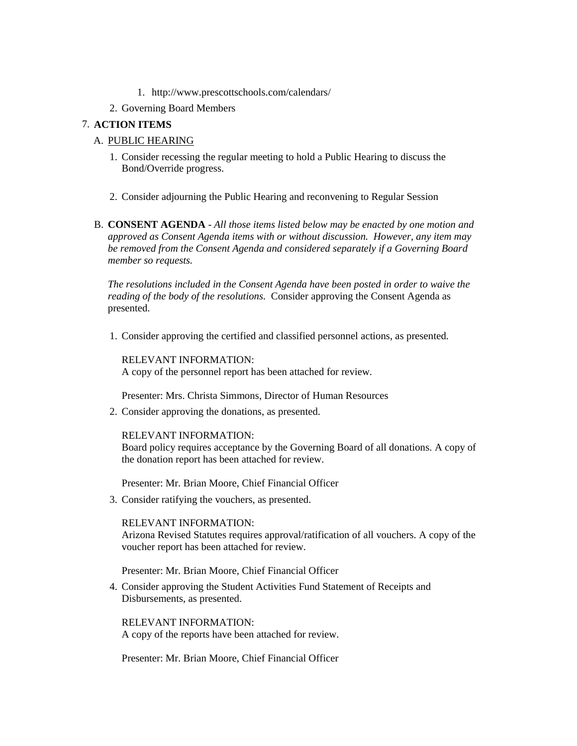- 1. http://www.prescottschools.com/calendars/
- 2. Governing Board Members

## 7. **ACTION ITEMS**

# A. PUBLIC HEARING

- 1. Consider recessing the regular meeting to hold a Public Hearing to discuss the Bond/Override progress.
- 2. Consider adjourning the Public Hearing and reconvening to Regular Session
- B. **CONSENT AGENDA** *All those items listed below may be enacted by one motion and approved as Consent Agenda items with or without discussion. However, any item may be removed from the Consent Agenda and considered separately if a Governing Board member so requests.*

*The resolutions included in the Consent Agenda have been posted in order to waive the reading of the body of the resolutions.* Consider approving the Consent Agenda as presented.

1. Consider approving the certified and classified personnel actions, as presented.

RELEVANT INFORMATION: A copy of the personnel report has been attached for review.

Presenter: Mrs. Christa Simmons, Director of Human Resources

2. Consider approving the donations, as presented.

RELEVANT INFORMATION:

Board policy requires acceptance by the Governing Board of all donations. A copy of the donation report has been attached for review.

Presenter: Mr. Brian Moore, Chief Financial Officer

3. Consider ratifying the vouchers, as presented.

## RELEVANT INFORMATION:

Arizona Revised Statutes requires approval/ratification of all vouchers. A copy of the voucher report has been attached for review.

Presenter: Mr. Brian Moore, Chief Financial Officer

4. Consider approving the Student Activities Fund Statement of Receipts and Disbursements, as presented.

RELEVANT INFORMATION: A copy of the reports have been attached for review.

Presenter: Mr. Brian Moore, Chief Financial Officer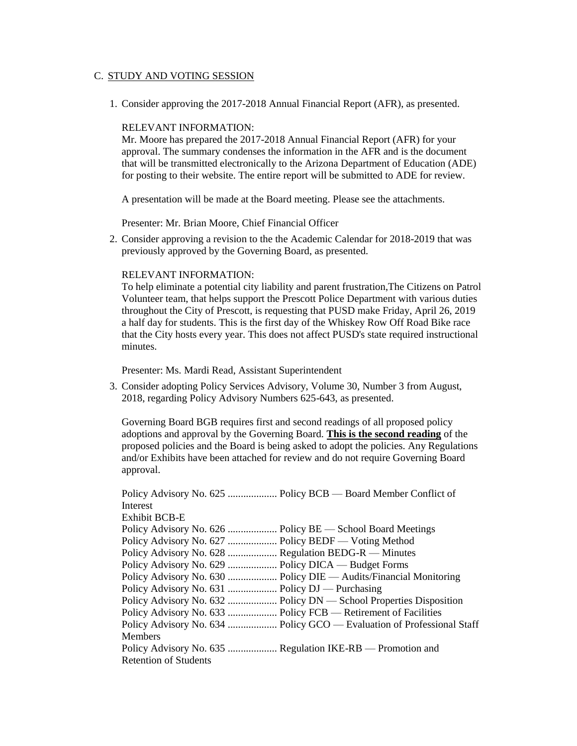## C. STUDY AND VOTING SESSION

1. Consider approving the 2017-2018 Annual Financial Report (AFR), as presented.

### RELEVANT INFORMATION:

Mr. Moore has prepared the 2017-2018 Annual Financial Report (AFR) for your approval. The summary condenses the information in the AFR and is the document that will be transmitted electronically to the Arizona Department of Education (ADE) for posting to their website. The entire report will be submitted to ADE for review.

A presentation will be made at the Board meeting. Please see the attachments.

Presenter: Mr. Brian Moore, Chief Financial Officer

2. Consider approving a revision to the the Academic Calendar for 2018-2019 that was previously approved by the Governing Board, as presented.

#### RELEVANT INFORMATION:

To help eliminate a potential city liability and parent frustration,The Citizens on Patrol Volunteer team, that helps support the Prescott Police Department with various duties throughout the City of Prescott, is requesting that PUSD make Friday, April 26, 2019 a half day for students. This is the first day of the Whiskey Row Off Road Bike race that the City hosts every year. This does not affect PUSD's state required instructional minutes.

Presenter: Ms. Mardi Read, Assistant Superintendent

3. Consider adopting Policy Services Advisory, Volume 30, Number 3 from August, 2018, regarding Policy Advisory Numbers 625-643, as presented.

Governing Board BGB requires first and second readings of all proposed policy adoptions and approval by the Governing Board. **This is the second reading** of the proposed policies and the Board is being asked to adopt the policies. Any Regulations and/or Exhibits have been attached for review and do not require Governing Board approval.

| Policy Advisory No. 625  Policy BCB — Board Member Conflict of         |
|------------------------------------------------------------------------|
| Interest                                                               |
| <b>Exhibit BCB-E</b>                                                   |
|                                                                        |
|                                                                        |
| Policy Advisory No. 628  Regulation BEDG-R - Minutes                   |
| Policy Advisory No. 629  Policy DICA — Budget Forms                    |
| Policy Advisory No. 630  Policy DIE — Audits/Financial Monitoring      |
|                                                                        |
| Policy Advisory No. 632  Policy DN — School Properties Disposition     |
| Policy Advisory No. 633  Policy FCB - Retirement of Facilities         |
| Policy Advisory No. 634  Policy GCO — Evaluation of Professional Staff |
| <b>Members</b>                                                         |
| Policy Advisory No. 635  Regulation IKE-RB — Promotion and             |
| <b>Retention of Students</b>                                           |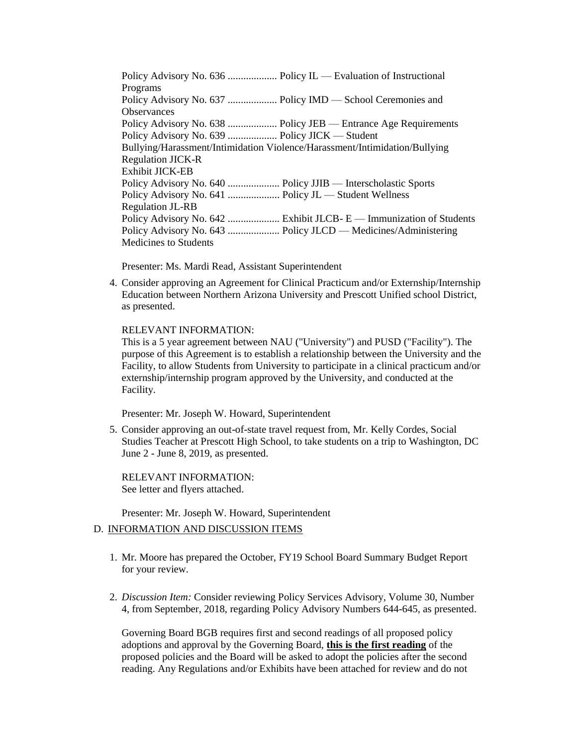Policy Advisory No. 636 ..................... Policy IL — Evaluation of Instructional Programs Policy Advisory No. 637 ................... Policy IMD — School Ceremonies and **Observances** Policy Advisory No. 638 .................... Policy JEB — Entrance Age Requirements Policy Advisory No. 639 ................... Policy JICK — Student Bullying/Harassment/Intimidation Violence/Harassment/Intimidation/Bullying Regulation JICK-R Exhibit JICK-EB Policy Advisory No. 640 .................... Policy JJIB — Interscholastic Sports Policy Advisory No. 641 .................... Policy JL — Student Wellness Regulation JL-RB Policy Advisory No. 642 ..................... Exhibit JLCB- E — Immunization of Students Policy Advisory No. 643 .................... Policy JLCD — Medicines/Administering Medicines to Students

Presenter: Ms. Mardi Read, Assistant Superintendent

4. Consider approving an Agreement for Clinical Practicum and/or Externship/Internship Education between Northern Arizona University and Prescott Unified school District, as presented.

## RELEVANT INFORMATION:

This is a 5 year agreement between NAU ("University") and PUSD ("Facility"). The purpose of this Agreement is to establish a relationship between the University and the Facility, to allow Students from University to participate in a clinical practicum and/or externship/internship program approved by the University, and conducted at the Facility.

Presenter: Mr. Joseph W. Howard, Superintendent

5. Consider approving an out-of-state travel request from, Mr. Kelly Cordes, Social Studies Teacher at Prescott High School, to take students on a trip to Washington, DC June 2 - June 8, 2019, as presented.

RELEVANT INFORMATION: See letter and flyers attached.

Presenter: Mr. Joseph W. Howard, Superintendent

## D. INFORMATION AND DISCUSSION ITEMS

- 1. Mr. Moore has prepared the October, FY19 School Board Summary Budget Report for your review.
- 2. *Discussion Item:* Consider reviewing Policy Services Advisory, Volume 30, Number 4, from September, 2018, regarding Policy Advisory Numbers 644-645, as presented.

Governing Board BGB requires first and second readings of all proposed policy adoptions and approval by the Governing Board, **this is the first reading** of the proposed policies and the Board will be asked to adopt the policies after the second reading. Any Regulations and/or Exhibits have been attached for review and do not